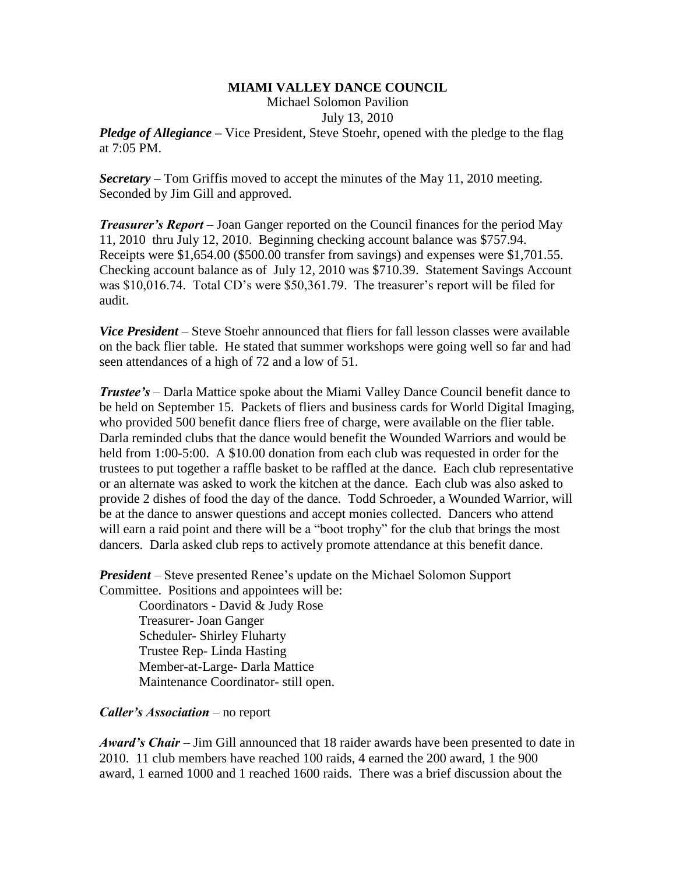## **MIAMI VALLEY DANCE COUNCIL**

Michael Solomon Pavilion

July 13, 2010

*Pledge of Allegiance* – Vice President, Steve Stoehr, opened with the pledge to the flag at 7:05 PM.

*Secretary –* Tom Griffis moved to accept the minutes of the May 11, 2010 meeting. Seconded by Jim Gill and approved.

*Treasurer's Report* – Joan Ganger reported on the Council finances for the period May 11, 2010 thru July 12, 2010. Beginning checking account balance was \$757.94. Receipts were \$1,654.00 (\$500.00 transfer from savings) and expenses were \$1,701.55. Checking account balance as of July 12, 2010 was \$710.39. Statement Savings Account was \$10,016.74. Total CD's were \$50,361.79. The treasurer's report will be filed for audit.

*Vice President* – Steve Stoehr announced that fliers for fall lesson classes were available on the back flier table. He stated that summer workshops were going well so far and had seen attendances of a high of 72 and a low of 51.

*Trustee's* – Darla Mattice spoke about the Miami Valley Dance Council benefit dance to be held on September 15. Packets of fliers and business cards for World Digital Imaging, who provided 500 benefit dance fliers free of charge, were available on the flier table. Darla reminded clubs that the dance would benefit the Wounded Warriors and would be held from 1:00-5:00. A \$10.00 donation from each club was requested in order for the trustees to put together a raffle basket to be raffled at the dance. Each club representative or an alternate was asked to work the kitchen at the dance. Each club was also asked to provide 2 dishes of food the day of the dance. Todd Schroeder, a Wounded Warrior, will be at the dance to answer questions and accept monies collected. Dancers who attend will earn a raid point and there will be a "boot trophy" for the club that brings the most dancers. Darla asked club reps to actively promote attendance at this benefit dance.

*President* – Steve presented Renee's update on the Michael Solomon Support Committee. Positions and appointees will be:

Coordinators - David & Judy Rose Treasurer- Joan Ganger Scheduler- Shirley Fluharty Trustee Rep- Linda Hasting Member-at-Large- Darla Mattice Maintenance Coordinator- still open.

*Caller's Association* – no report

*Award's Chair* – Jim Gill announced that 18 raider awards have been presented to date in 2010. 11 club members have reached 100 raids, 4 earned the 200 award, 1 the 900 award, 1 earned 1000 and 1 reached 1600 raids. There was a brief discussion about the